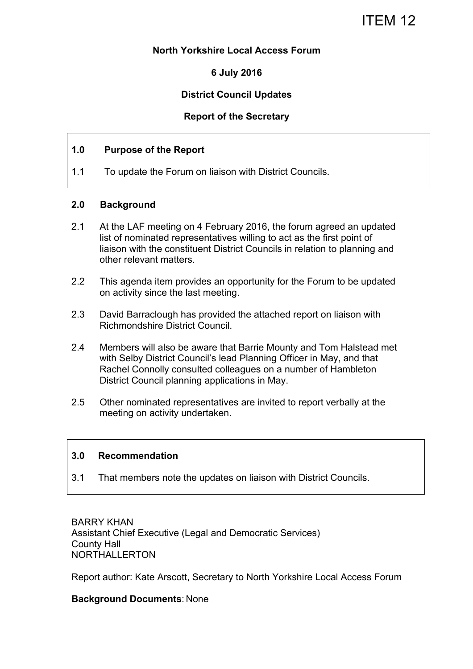### **North Yorkshire Local Access Forum**

# **6 July 2016**

## **District Council Updates**

## **Report of the Secretary**

## **1.0 Purpose of the Report**

1.1 To update the Forum on liaison with District Councils.

## **2.0 Background**

- 2.1 At the LAF meeting on 4 February 2016, the forum agreed an updated list of nominated representatives willing to act as the first point of liaison with the constituent District Councils in relation to planning and other relevant matters.
- 2.2 This agenda item provides an opportunity for the Forum to be updated on activity since the last meeting.
- 2.3 David Barraclough has provided the attached report on liaison with Richmondshire District Council.
- 2.4 Members will also be aware that Barrie Mounty and Tom Halstead met with Selby District Council's lead Planning Officer in May, and that Rachel Connolly consulted colleagues on a number of Hambleton District Council planning applications in May.
- 2.5 Other nominated representatives are invited to report verbally at the meeting on activity undertaken.

### **3.0 Recommendation**

3.1 That members note the updates on liaison with District Councils.

BARRY KHAN Assistant Chief Executive (Legal and Democratic Services) County Hall NORTHALLERTON

Report author: Kate Arscott, Secretary to North Yorkshire Local Access Forum

**Background Documents**: None